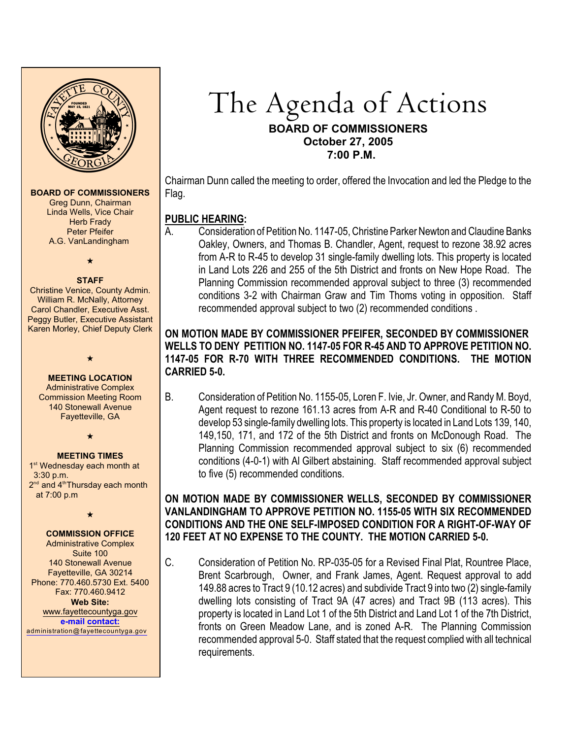

#### **BOARD OF COMMISSIONERS**

Greg Dunn, Chairman Linda Wells, Vice Chair **Herb Frady** Peter Pfeifer A.G. VanLandingham

 $\star$ 

#### **STAFF**

Christine Venice, County Admin. William R. McNally, Attorney Carol Chandler, Executive Asst. Peggy Butler, Executive Assistant Karen Morley, Chief Deputy Clerk

> $\star$ **MEETING LOCATION**

Administrative Complex Commission Meeting Room 140 Stonewall Avenue Fayetteville, GA

#### $\star$

#### **MEETING TIMES**

1<sup>st</sup> Wednesday each month at 3:30 p.m.  $2<sup>nd</sup>$  and  $4<sup>th</sup>$ Thursday each month at 7:00 p.m

 $\star$ 

## **COMMISSION OFFICE**

Administrative Complex Suite 100 140 Stonewall Avenue Fayetteville, GA 30214 Phone: 770.460.5730 Ext. 5400 Fax: 770.460.9412 **Web Site:** [www.fayettecountyga.gov](http://www.admin.co.fayette.ga.us) **e-mail [contact:](mailto:administration@fayettecountyga.gov)**

[administration@fayettecountyga.gov](mailto:administration@fayettecountyga.gov)

# The Agenda of Actions **BOARD OF COMMISSIONERS October 27, 2005 7:00 P.M.**

Chairman Dunn called the meeting to order, offered the Invocation and led the Pledge to the Flag.

## **PUBLIC HEARING:**

A. Consideration of Petition No. 1147-05, Christine Parker Newton and Claudine Banks Oakley, Owners, and Thomas B. Chandler, Agent, request to rezone 38.92 acres from A-R to R-45 to develop 31 single-family dwelling lots. This property is located in Land Lots 226 and 255 of the 5th District and fronts on New Hope Road. The Planning Commission recommended approval subject to three (3) recommended conditions 3-2 with Chairman Graw and Tim Thoms voting in opposition. Staff recommended approval subject to two (2) recommended conditions .

## **ON MOTION MADE BY COMMISSIONER PFEIFER, SECONDED BY COMMISSIONER WELLS TO DENY PETITION NO. 1147-05 FOR R-45 AND TO APPROVE PETITION NO. 1147-05 FOR R-70 WITH THREE RECOMMENDED CONDITIONS. THE MOTION CARRIED 5-0.**

B. Consideration of Petition No. 1155-05, Loren F. Ivie, Jr. Owner, and Randy M. Boyd, Agent request to rezone 161.13 acres from A-R and R-40 Conditional to R-50 to develop 53 single-family dwelling lots. This property is located in Land Lots 139, 140, 149,150, 171, and 172 of the 5th District and fronts on McDonough Road. The Planning Commission recommended approval subject to six (6) recommended conditions (4-0-1) with Al Gilbert abstaining. Staff recommended approval subject to five (5) recommended conditions.

## **ON MOTION MADE BY COMMISSIONER WELLS, SECONDED BY COMMISSIONER VANLANDINGHAM TO APPROVE PETITION NO. 1155-05 WITH SIX RECOMMENDED CONDITIONS AND THE ONE SELF-IMPOSED CONDITION FOR A RIGHT-OF-WAY OF 120 FEET AT NO EXPENSE TO THE COUNTY. THE MOTION CARRIED 5-0.**

C. Consideration of Petition No. RP-035-05 for a Revised Final Plat, Rountree Place, Brent Scarbrough, Owner, and Frank James, Agent. Request approval to add 149.88 acres to Tract 9 (10.12 acres) and subdivide Tract 9 into two (2) single-family dwelling lots consisting of Tract 9A (47 acres) and Tract 9B (113 acres). This property is located in Land Lot 1 of the 5th District and Land Lot 1 of the 7th District, fronts on Green Meadow Lane, and is zoned A-R. The Planning Commission recommended approval 5-0. Staff stated that the request complied with all technical requirements.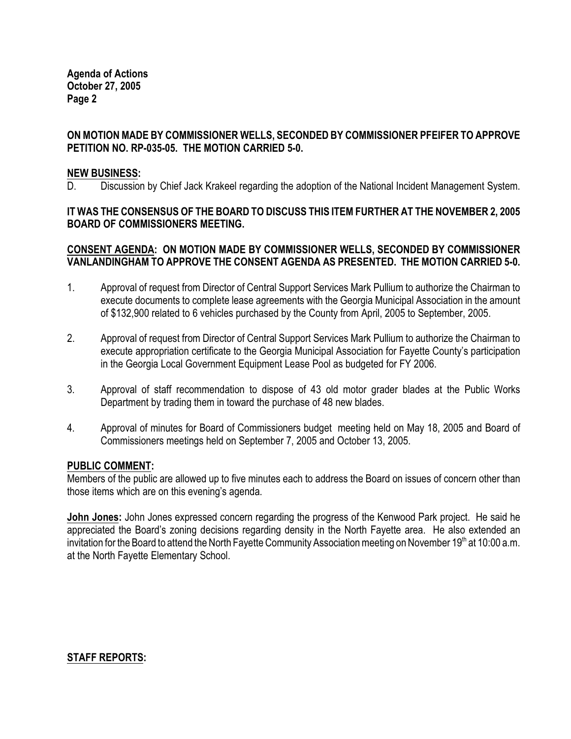**Agenda of Actions October 27, 2005 Page 2**

## **ON MOTION MADE BY COMMISSIONER WELLS, SECONDED BY COMMISSIONER PFEIFER TO APPROVE PETITION NO. RP-035-05. THE MOTION CARRIED 5-0.**

#### **NEW BUSINESS:**

D. Discussion by Chief Jack Krakeel regarding the adoption of the National Incident Management System.

#### **IT WAS THE CONSENSUS OF THE BOARD TO DISCUSS THIS ITEM FURTHER AT THE NOVEMBER 2, 2005 BOARD OF COMMISSIONERS MEETING.**

#### **CONSENT AGENDA: ON MOTION MADE BY COMMISSIONER WELLS, SECONDED BY COMMISSIONER VANLANDINGHAM TO APPROVE THE CONSENT AGENDA AS PRESENTED. THE MOTION CARRIED 5-0.**

- 1. Approval of request from Director of Central Support Services Mark Pullium to authorize the Chairman to execute documents to complete lease agreements with the Georgia Municipal Association in the amount of \$132,900 related to 6 vehicles purchased by the County from April, 2005 to September, 2005.
- 2. Approval of request from Director of Central Support Services Mark Pullium to authorize the Chairman to execute appropriation certificate to the Georgia Municipal Association for Fayette County's participation in the Georgia Local Government Equipment Lease Pool as budgeted for FY 2006.
- 3. Approval of staff recommendation to dispose of 43 old motor grader blades at the Public Works Department by trading them in toward the purchase of 48 new blades.
- 4. Approval of minutes for Board of Commissioners budget meeting held on May 18, 2005 and Board of Commissioners meetings held on September 7, 2005 and October 13, 2005.

#### **PUBLIC COMMENT:**

Members of the public are allowed up to five minutes each to address the Board on issues of concern other than those items which are on this evening's agenda.

**John Jones:** John Jones expressed concern regarding the progress of the Kenwood Park project. He said he appreciated the Board's zoning decisions regarding density in the North Fayette area. He also extended an invitation for the Board to attend the North Fayette Community Association meeting on November 19<sup>th</sup> at 10:00 a.m. at the North Fayette Elementary School.

#### **STAFF REPORTS:**